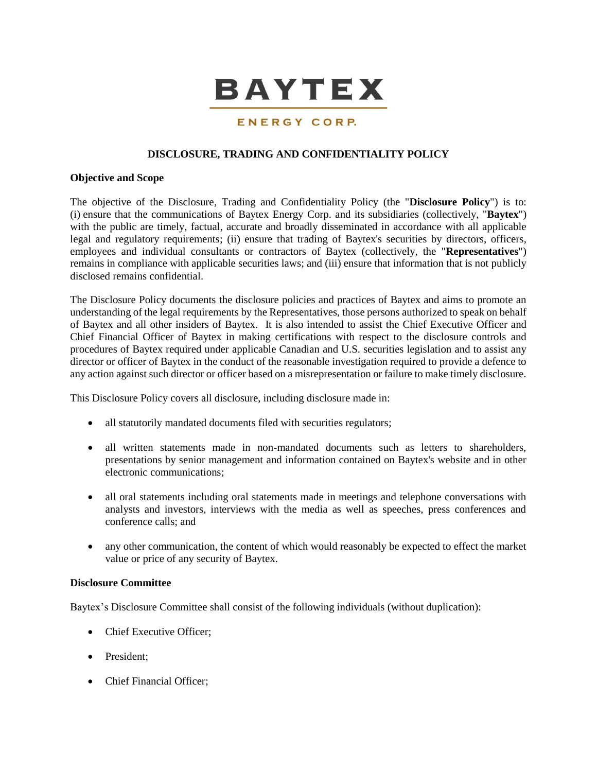

## ENERGY CORP.

### **DISCLOSURE, TRADING AND CONFIDENTIALITY POLICY**

#### **Objective and Scope**

The objective of the Disclosure, Trading and Confidentiality Policy (the "**Disclosure Policy**") is to: (i) ensure that the communications of Baytex Energy Corp. and its subsidiaries (collectively, "**Baytex**") with the public are timely, factual, accurate and broadly disseminated in accordance with all applicable legal and regulatory requirements; (ii) ensure that trading of Baytex's securities by directors, officers, employees and individual consultants or contractors of Baytex (collectively, the "**Representatives**") remains in compliance with applicable securities laws; and (iii) ensure that information that is not publicly disclosed remains confidential.

The Disclosure Policy documents the disclosure policies and practices of Baytex and aims to promote an understanding of the legal requirements by the Representatives, those persons authorized to speak on behalf of Baytex and all other insiders of Baytex. It is also intended to assist the Chief Executive Officer and Chief Financial Officer of Baytex in making certifications with respect to the disclosure controls and procedures of Baytex required under applicable Canadian and U.S. securities legislation and to assist any director or officer of Baytex in the conduct of the reasonable investigation required to provide a defence to any action against such director or officer based on a misrepresentation or failure to make timely disclosure.

This Disclosure Policy covers all disclosure, including disclosure made in:

- all statutorily mandated documents filed with securities regulators;
- all written statements made in non-mandated documents such as letters to shareholders, presentations by senior management and information contained on Baytex's website and in other electronic communications;
- all oral statements including oral statements made in meetings and telephone conversations with analysts and investors, interviews with the media as well as speeches, press conferences and conference calls; and
- any other communication, the content of which would reasonably be expected to effect the market value or price of any security of Baytex.

#### **Disclosure Committee**

Baytex's Disclosure Committee shall consist of the following individuals (without duplication):

- Chief Executive Officer:
- President:
- Chief Financial Officer;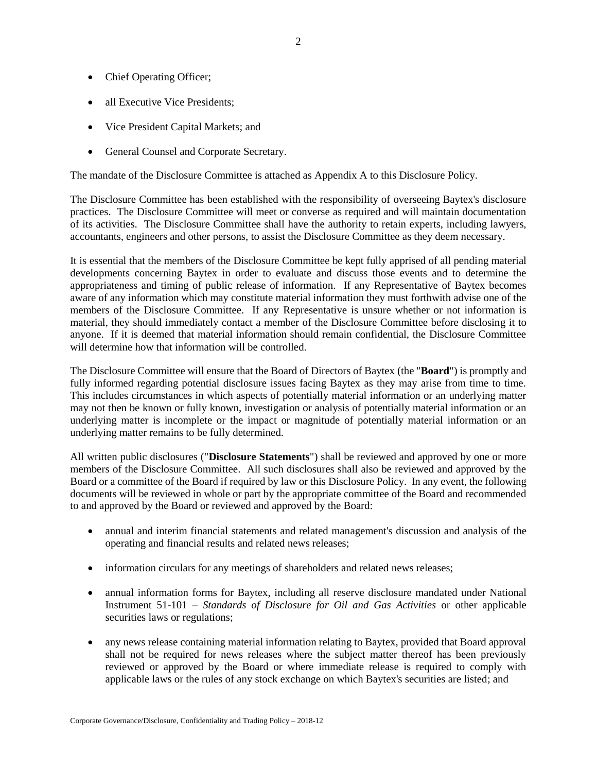- Chief Operating Officer;
- all Executive Vice Presidents;
- Vice President Capital Markets; and
- General Counsel and Corporate Secretary.

The mandate of the Disclosure Committee is attached as Appendix A to this Disclosure Policy.

The Disclosure Committee has been established with the responsibility of overseeing Baytex's disclosure practices. The Disclosure Committee will meet or converse as required and will maintain documentation of its activities. The Disclosure Committee shall have the authority to retain experts, including lawyers, accountants, engineers and other persons, to assist the Disclosure Committee as they deem necessary.

It is essential that the members of the Disclosure Committee be kept fully apprised of all pending material developments concerning Baytex in order to evaluate and discuss those events and to determine the appropriateness and timing of public release of information. If any Representative of Baytex becomes aware of any information which may constitute material information they must forthwith advise one of the members of the Disclosure Committee. If any Representative is unsure whether or not information is material, they should immediately contact a member of the Disclosure Committee before disclosing it to anyone. If it is deemed that material information should remain confidential, the Disclosure Committee will determine how that information will be controlled.

The Disclosure Committee will ensure that the Board of Directors of Baytex (the "**Board**") is promptly and fully informed regarding potential disclosure issues facing Baytex as they may arise from time to time. This includes circumstances in which aspects of potentially material information or an underlying matter may not then be known or fully known, investigation or analysis of potentially material information or an underlying matter is incomplete or the impact or magnitude of potentially material information or an underlying matter remains to be fully determined.

All written public disclosures ("**Disclosure Statements**") shall be reviewed and approved by one or more members of the Disclosure Committee. All such disclosures shall also be reviewed and approved by the Board or a committee of the Board if required by law or this Disclosure Policy. In any event, the following documents will be reviewed in whole or part by the appropriate committee of the Board and recommended to and approved by the Board or reviewed and approved by the Board:

- annual and interim financial statements and related management's discussion and analysis of the operating and financial results and related news releases;
- information circulars for any meetings of shareholders and related news releases;
- annual information forms for Baytex, including all reserve disclosure mandated under National Instrument 51-101 – *Standards of Disclosure for Oil and Gas Activities* or other applicable securities laws or regulations;
- any news release containing material information relating to Baytex, provided that Board approval shall not be required for news releases where the subject matter thereof has been previously reviewed or approved by the Board or where immediate release is required to comply with applicable laws or the rules of any stock exchange on which Baytex's securities are listed; and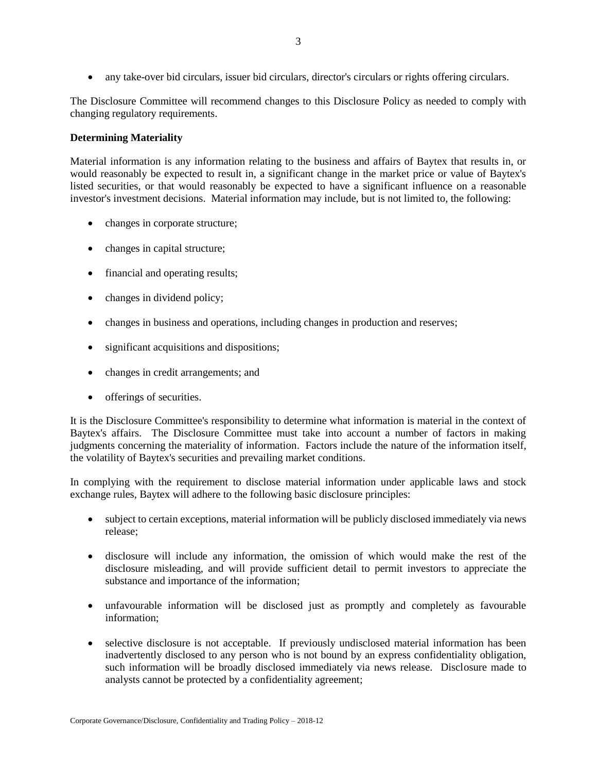any take-over bid circulars, issuer bid circulars, director's circulars or rights offering circulars.

The Disclosure Committee will recommend changes to this Disclosure Policy as needed to comply with changing regulatory requirements.

### **Determining Materiality**

Material information is any information relating to the business and affairs of Baytex that results in, or would reasonably be expected to result in, a significant change in the market price or value of Baytex's listed securities, or that would reasonably be expected to have a significant influence on a reasonable investor's investment decisions. Material information may include, but is not limited to, the following:

- changes in corporate structure;
- changes in capital structure;
- financial and operating results;
- changes in dividend policy;
- changes in business and operations, including changes in production and reserves;
- significant acquisitions and dispositions;
- changes in credit arrangements; and
- offerings of securities.

It is the Disclosure Committee's responsibility to determine what information is material in the context of Baytex's affairs. The Disclosure Committee must take into account a number of factors in making judgments concerning the materiality of information. Factors include the nature of the information itself, the volatility of Baytex's securities and prevailing market conditions.

In complying with the requirement to disclose material information under applicable laws and stock exchange rules, Baytex will adhere to the following basic disclosure principles:

- subject to certain exceptions, material information will be publicly disclosed immediately via news release;
- disclosure will include any information, the omission of which would make the rest of the disclosure misleading, and will provide sufficient detail to permit investors to appreciate the substance and importance of the information;
- unfavourable information will be disclosed just as promptly and completely as favourable information;
- selective disclosure is not acceptable. If previously undisclosed material information has been inadvertently disclosed to any person who is not bound by an express confidentiality obligation, such information will be broadly disclosed immediately via news release. Disclosure made to analysts cannot be protected by a confidentiality agreement;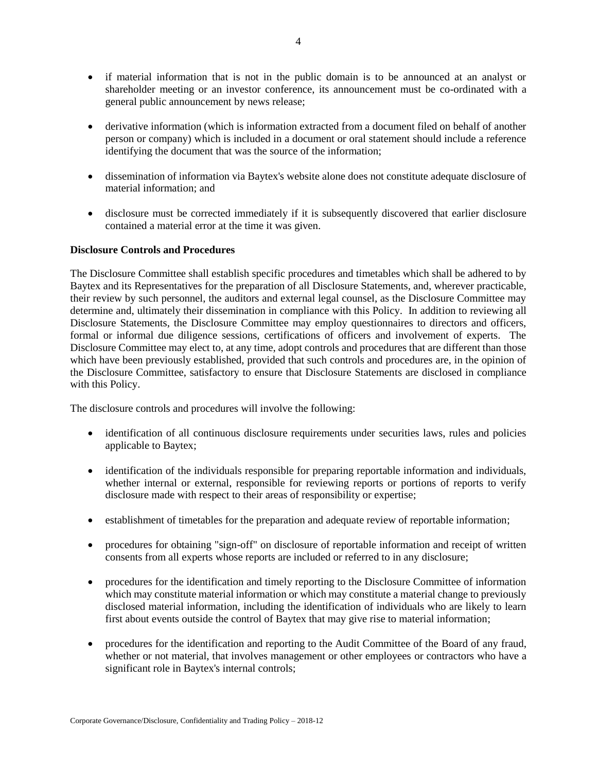- if material information that is not in the public domain is to be announced at an analyst or shareholder meeting or an investor conference, its announcement must be co-ordinated with a general public announcement by news release;
- derivative information (which is information extracted from a document filed on behalf of another person or company) which is included in a document or oral statement should include a reference identifying the document that was the source of the information;
- dissemination of information via Baytex's website alone does not constitute adequate disclosure of material information; and
- disclosure must be corrected immediately if it is subsequently discovered that earlier disclosure contained a material error at the time it was given.

## **Disclosure Controls and Procedures**

The Disclosure Committee shall establish specific procedures and timetables which shall be adhered to by Baytex and its Representatives for the preparation of all Disclosure Statements, and, wherever practicable, their review by such personnel, the auditors and external legal counsel, as the Disclosure Committee may determine and, ultimately their dissemination in compliance with this Policy. In addition to reviewing all Disclosure Statements, the Disclosure Committee may employ questionnaires to directors and officers, formal or informal due diligence sessions, certifications of officers and involvement of experts. The Disclosure Committee may elect to, at any time, adopt controls and procedures that are different than those which have been previously established, provided that such controls and procedures are, in the opinion of the Disclosure Committee, satisfactory to ensure that Disclosure Statements are disclosed in compliance with this Policy.

The disclosure controls and procedures will involve the following:

- identification of all continuous disclosure requirements under securities laws, rules and policies applicable to Baytex;
- identification of the individuals responsible for preparing reportable information and individuals, whether internal or external, responsible for reviewing reports or portions of reports to verify disclosure made with respect to their areas of responsibility or expertise;
- establishment of timetables for the preparation and adequate review of reportable information;
- procedures for obtaining "sign-off" on disclosure of reportable information and receipt of written consents from all experts whose reports are included or referred to in any disclosure;
- procedures for the identification and timely reporting to the Disclosure Committee of information which may constitute material information or which may constitute a material change to previously disclosed material information, including the identification of individuals who are likely to learn first about events outside the control of Baytex that may give rise to material information;
- procedures for the identification and reporting to the Audit Committee of the Board of any fraud, whether or not material, that involves management or other employees or contractors who have a significant role in Baytex's internal controls;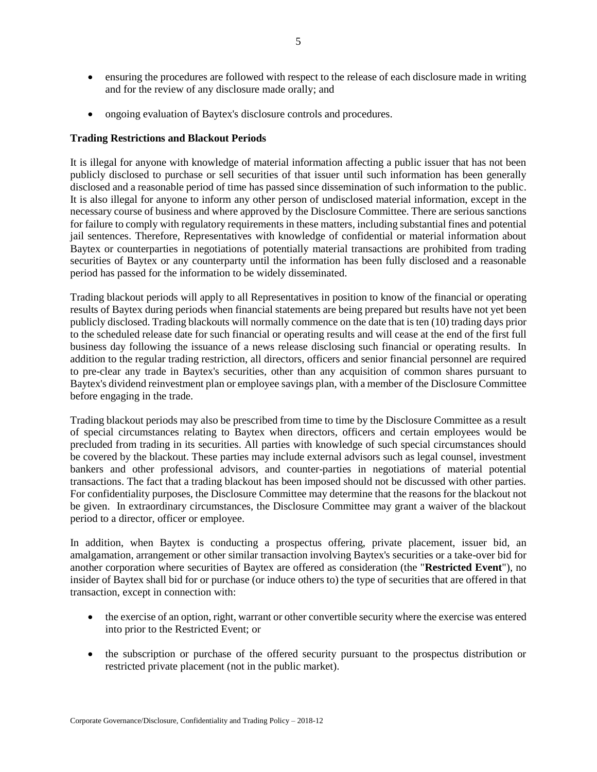- ensuring the procedures are followed with respect to the release of each disclosure made in writing and for the review of any disclosure made orally; and
- ongoing evaluation of Baytex's disclosure controls and procedures.

### **Trading Restrictions and Blackout Periods**

It is illegal for anyone with knowledge of material information affecting a public issuer that has not been publicly disclosed to purchase or sell securities of that issuer until such information has been generally disclosed and a reasonable period of time has passed since dissemination of such information to the public. It is also illegal for anyone to inform any other person of undisclosed material information, except in the necessary course of business and where approved by the Disclosure Committee. There are serious sanctions for failure to comply with regulatory requirements in these matters, including substantial fines and potential jail sentences. Therefore, Representatives with knowledge of confidential or material information about Baytex or counterparties in negotiations of potentially material transactions are prohibited from trading securities of Baytex or any counterparty until the information has been fully disclosed and a reasonable period has passed for the information to be widely disseminated.

Trading blackout periods will apply to all Representatives in position to know of the financial or operating results of Baytex during periods when financial statements are being prepared but results have not yet been publicly disclosed. Trading blackouts will normally commence on the date that is ten (10) trading days prior to the scheduled release date for such financial or operating results and will cease at the end of the first full business day following the issuance of a news release disclosing such financial or operating results. In addition to the regular trading restriction, all directors, officers and senior financial personnel are required to pre-clear any trade in Baytex's securities, other than any acquisition of common shares pursuant to Baytex's dividend reinvestment plan or employee savings plan, with a member of the Disclosure Committee before engaging in the trade.

Trading blackout periods may also be prescribed from time to time by the Disclosure Committee as a result of special circumstances relating to Baytex when directors, officers and certain employees would be precluded from trading in its securities. All parties with knowledge of such special circumstances should be covered by the blackout. These parties may include external advisors such as legal counsel, investment bankers and other professional advisors, and counter-parties in negotiations of material potential transactions. The fact that a trading blackout has been imposed should not be discussed with other parties. For confidentiality purposes, the Disclosure Committee may determine that the reasons for the blackout not be given. In extraordinary circumstances, the Disclosure Committee may grant a waiver of the blackout period to a director, officer or employee.

In addition, when Baytex is conducting a prospectus offering, private placement, issuer bid, an amalgamation, arrangement or other similar transaction involving Baytex's securities or a take-over bid for another corporation where securities of Baytex are offered as consideration (the "**Restricted Event**"), no insider of Baytex shall bid for or purchase (or induce others to) the type of securities that are offered in that transaction, except in connection with:

- the exercise of an option, right, warrant or other convertible security where the exercise was entered into prior to the Restricted Event; or
- the subscription or purchase of the offered security pursuant to the prospectus distribution or restricted private placement (not in the public market).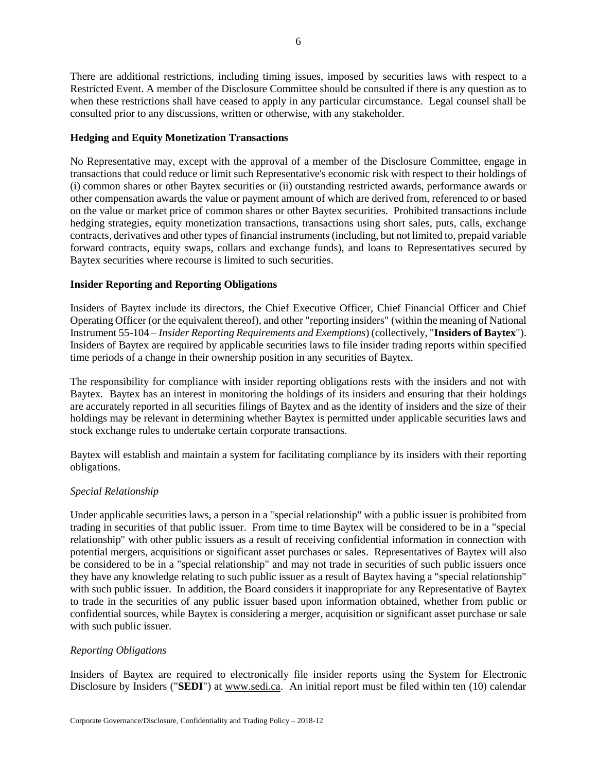There are additional restrictions, including timing issues, imposed by securities laws with respect to a Restricted Event. A member of the Disclosure Committee should be consulted if there is any question as to when these restrictions shall have ceased to apply in any particular circumstance. Legal counsel shall be consulted prior to any discussions, written or otherwise, with any stakeholder.

## **Hedging and Equity Monetization Transactions**

No Representative may, except with the approval of a member of the Disclosure Committee, engage in transactions that could reduce or limit such Representative's economic risk with respect to their holdings of (i) common shares or other Baytex securities or (ii) outstanding restricted awards, performance awards or other compensation awards the value or payment amount of which are derived from, referenced to or based on the value or market price of common shares or other Baytex securities. Prohibited transactions include hedging strategies, equity monetization transactions, transactions using short sales, puts, calls, exchange contracts, derivatives and other types of financial instruments (including, but not limited to, prepaid variable forward contracts, equity swaps, collars and exchange funds), and loans to Representatives secured by Baytex securities where recourse is limited to such securities.

# **Insider Reporting and Reporting Obligations**

Insiders of Baytex include its directors, the Chief Executive Officer, Chief Financial Officer and Chief Operating Officer (or the equivalent thereof), and other "reporting insiders" (within the meaning of National Instrument 55-104 – *Insider Reporting Requirements and Exemptions*) (collectively, "**Insiders of Baytex**"). Insiders of Baytex are required by applicable securities laws to file insider trading reports within specified time periods of a change in their ownership position in any securities of Baytex.

The responsibility for compliance with insider reporting obligations rests with the insiders and not with Baytex. Baytex has an interest in monitoring the holdings of its insiders and ensuring that their holdings are accurately reported in all securities filings of Baytex and as the identity of insiders and the size of their holdings may be relevant in determining whether Baytex is permitted under applicable securities laws and stock exchange rules to undertake certain corporate transactions.

Baytex will establish and maintain a system for facilitating compliance by its insiders with their reporting obligations.

## *Special Relationship*

Under applicable securities laws, a person in a "special relationship" with a public issuer is prohibited from trading in securities of that public issuer. From time to time Baytex will be considered to be in a "special relationship" with other public issuers as a result of receiving confidential information in connection with potential mergers, acquisitions or significant asset purchases or sales. Representatives of Baytex will also be considered to be in a "special relationship" and may not trade in securities of such public issuers once they have any knowledge relating to such public issuer as a result of Baytex having a "special relationship" with such public issuer. In addition, the Board considers it inappropriate for any Representative of Baytex to trade in the securities of any public issuer based upon information obtained, whether from public or confidential sources, while Baytex is considering a merger, acquisition or significant asset purchase or sale with such public issuer.

## *Reporting Obligations*

Insiders of Baytex are required to electronically file insider reports using the System for Electronic Disclosure by Insiders ("**SEDI**") at www.sedi.ca. An initial report must be filed within ten (10) calendar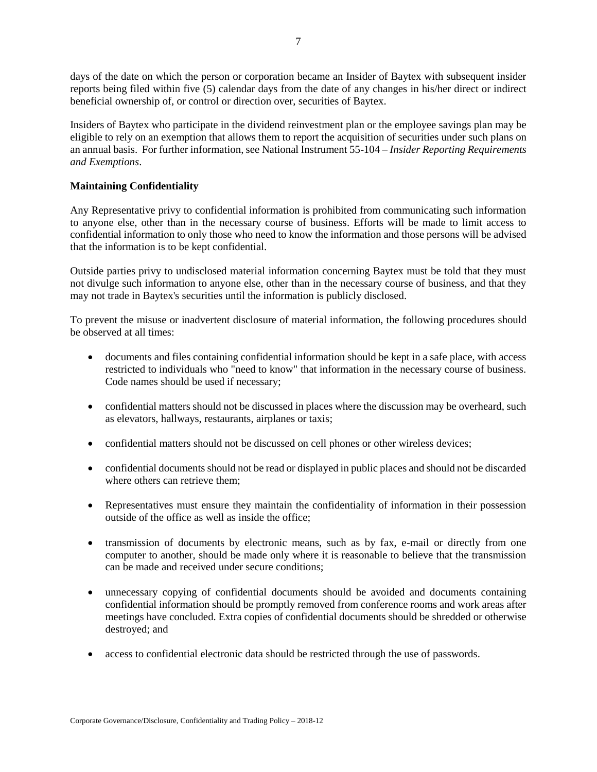days of the date on which the person or corporation became an Insider of Baytex with subsequent insider reports being filed within five (5) calendar days from the date of any changes in his/her direct or indirect beneficial ownership of, or control or direction over, securities of Baytex.

Insiders of Baytex who participate in the dividend reinvestment plan or the employee savings plan may be eligible to rely on an exemption that allows them to report the acquisition of securities under such plans on an annual basis. For further information, see National Instrument 55-104 – *Insider Reporting Requirements and Exemptions*.

## **Maintaining Confidentiality**

Any Representative privy to confidential information is prohibited from communicating such information to anyone else, other than in the necessary course of business. Efforts will be made to limit access to confidential information to only those who need to know the information and those persons will be advised that the information is to be kept confidential.

Outside parties privy to undisclosed material information concerning Baytex must be told that they must not divulge such information to anyone else, other than in the necessary course of business, and that they may not trade in Baytex's securities until the information is publicly disclosed.

To prevent the misuse or inadvertent disclosure of material information, the following procedures should be observed at all times:

- documents and files containing confidential information should be kept in a safe place, with access restricted to individuals who "need to know" that information in the necessary course of business. Code names should be used if necessary;
- confidential matters should not be discussed in places where the discussion may be overheard, such as elevators, hallways, restaurants, airplanes or taxis;
- confidential matters should not be discussed on cell phones or other wireless devices;
- confidential documents should not be read or displayed in public places and should not be discarded where others can retrieve them;
- Representatives must ensure they maintain the confidentiality of information in their possession outside of the office as well as inside the office;
- transmission of documents by electronic means, such as by fax, e-mail or directly from one computer to another, should be made only where it is reasonable to believe that the transmission can be made and received under secure conditions;
- unnecessary copying of confidential documents should be avoided and documents containing confidential information should be promptly removed from conference rooms and work areas after meetings have concluded. Extra copies of confidential documents should be shredded or otherwise destroyed; and
- access to confidential electronic data should be restricted through the use of passwords.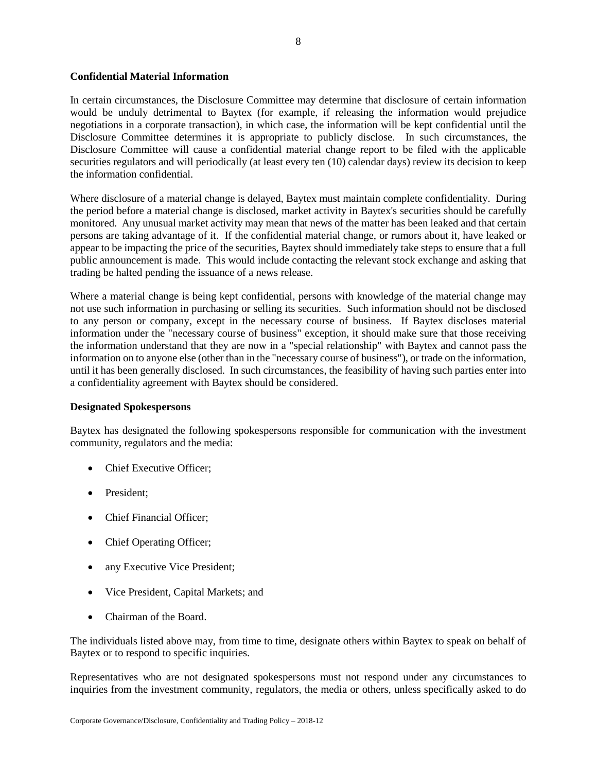### **Confidential Material Information**

In certain circumstances, the Disclosure Committee may determine that disclosure of certain information would be unduly detrimental to Baytex (for example, if releasing the information would prejudice negotiations in a corporate transaction), in which case, the information will be kept confidential until the Disclosure Committee determines it is appropriate to publicly disclose. In such circumstances, the Disclosure Committee will cause a confidential material change report to be filed with the applicable securities regulators and will periodically (at least every ten (10) calendar days) review its decision to keep the information confidential.

Where disclosure of a material change is delayed, Baytex must maintain complete confidentiality. During the period before a material change is disclosed, market activity in Baytex's securities should be carefully monitored. Any unusual market activity may mean that news of the matter has been leaked and that certain persons are taking advantage of it. If the confidential material change, or rumors about it, have leaked or appear to be impacting the price of the securities, Baytex should immediately take steps to ensure that a full public announcement is made. This would include contacting the relevant stock exchange and asking that trading be halted pending the issuance of a news release.

Where a material change is being kept confidential, persons with knowledge of the material change may not use such information in purchasing or selling its securities. Such information should not be disclosed to any person or company, except in the necessary course of business. If Baytex discloses material information under the "necessary course of business" exception, it should make sure that those receiving the information understand that they are now in a "special relationship" with Baytex and cannot pass the information on to anyone else (other than in the "necessary course of business"), or trade on the information, until it has been generally disclosed. In such circumstances, the feasibility of having such parties enter into a confidentiality agreement with Baytex should be considered.

#### **Designated Spokespersons**

Baytex has designated the following spokespersons responsible for communication with the investment community, regulators and the media:

- Chief Executive Officer:
- President;
- Chief Financial Officer:
- Chief Operating Officer;
- any Executive Vice President;
- Vice President, Capital Markets; and
- Chairman of the Board.

The individuals listed above may, from time to time, designate others within Baytex to speak on behalf of Baytex or to respond to specific inquiries.

Representatives who are not designated spokespersons must not respond under any circumstances to inquiries from the investment community, regulators, the media or others, unless specifically asked to do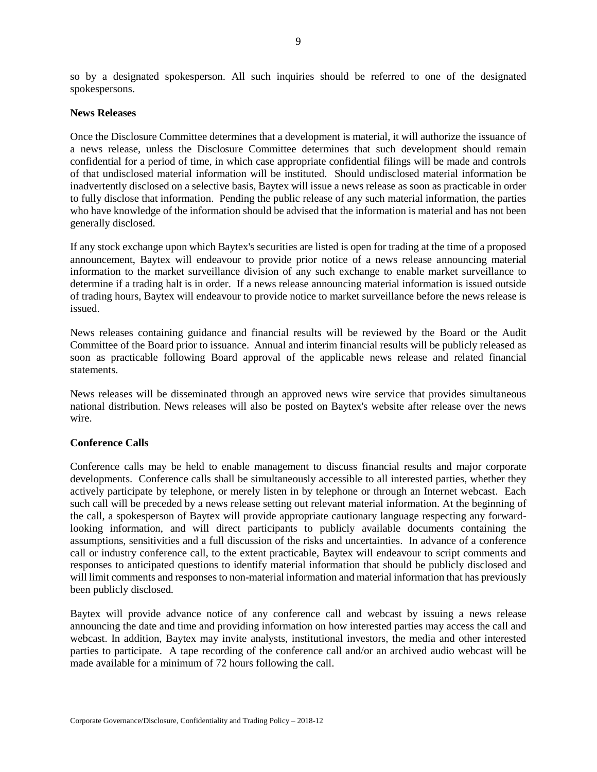so by a designated spokesperson. All such inquiries should be referred to one of the designated spokespersons.

#### **News Releases**

Once the Disclosure Committee determines that a development is material, it will authorize the issuance of a news release, unless the Disclosure Committee determines that such development should remain confidential for a period of time, in which case appropriate confidential filings will be made and controls of that undisclosed material information will be instituted. Should undisclosed material information be inadvertently disclosed on a selective basis, Baytex will issue a news release as soon as practicable in order to fully disclose that information. Pending the public release of any such material information, the parties who have knowledge of the information should be advised that the information is material and has not been generally disclosed.

If any stock exchange upon which Baytex's securities are listed is open for trading at the time of a proposed announcement, Baytex will endeavour to provide prior notice of a news release announcing material information to the market surveillance division of any such exchange to enable market surveillance to determine if a trading halt is in order. If a news release announcing material information is issued outside of trading hours, Baytex will endeavour to provide notice to market surveillance before the news release is issued.

News releases containing guidance and financial results will be reviewed by the Board or the Audit Committee of the Board prior to issuance. Annual and interim financial results will be publicly released as soon as practicable following Board approval of the applicable news release and related financial statements.

News releases will be disseminated through an approved news wire service that provides simultaneous national distribution. News releases will also be posted on Baytex's website after release over the news wire.

## **Conference Calls**

Conference calls may be held to enable management to discuss financial results and major corporate developments. Conference calls shall be simultaneously accessible to all interested parties, whether they actively participate by telephone, or merely listen in by telephone or through an Internet webcast. Each such call will be preceded by a news release setting out relevant material information. At the beginning of the call, a spokesperson of Baytex will provide appropriate cautionary language respecting any forwardlooking information, and will direct participants to publicly available documents containing the assumptions, sensitivities and a full discussion of the risks and uncertainties. In advance of a conference call or industry conference call, to the extent practicable, Baytex will endeavour to script comments and responses to anticipated questions to identify material information that should be publicly disclosed and will limit comments and responses to non-material information and material information that has previously been publicly disclosed.

Baytex will provide advance notice of any conference call and webcast by issuing a news release announcing the date and time and providing information on how interested parties may access the call and webcast. In addition, Baytex may invite analysts, institutional investors, the media and other interested parties to participate. A tape recording of the conference call and/or an archived audio webcast will be made available for a minimum of 72 hours following the call.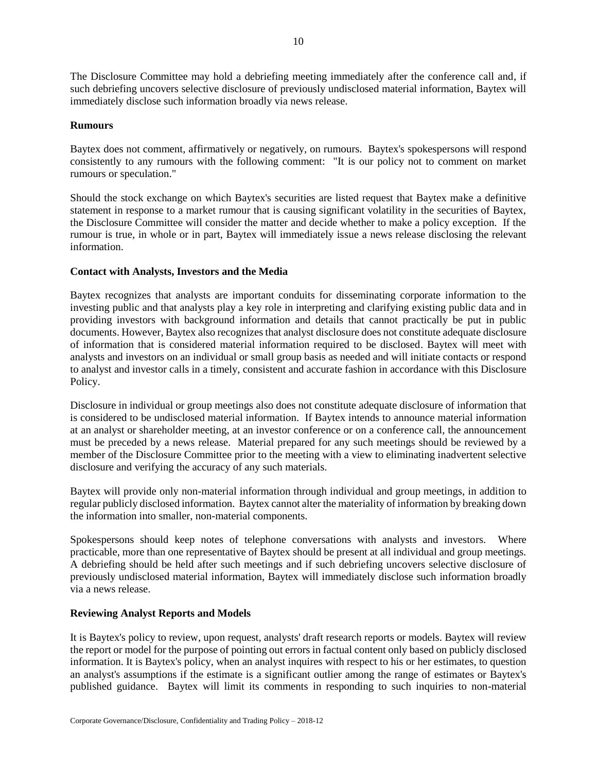The Disclosure Committee may hold a debriefing meeting immediately after the conference call and, if such debriefing uncovers selective disclosure of previously undisclosed material information, Baytex will immediately disclose such information broadly via news release.

### **Rumours**

Baytex does not comment, affirmatively or negatively, on rumours. Baytex's spokespersons will respond consistently to any rumours with the following comment: "It is our policy not to comment on market rumours or speculation."

Should the stock exchange on which Baytex's securities are listed request that Baytex make a definitive statement in response to a market rumour that is causing significant volatility in the securities of Baytex, the Disclosure Committee will consider the matter and decide whether to make a policy exception. If the rumour is true, in whole or in part, Baytex will immediately issue a news release disclosing the relevant information.

## **Contact with Analysts, Investors and the Media**

Baytex recognizes that analysts are important conduits for disseminating corporate information to the investing public and that analysts play a key role in interpreting and clarifying existing public data and in providing investors with background information and details that cannot practically be put in public documents. However, Baytex also recognizes that analyst disclosure does not constitute adequate disclosure of information that is considered material information required to be disclosed. Baytex will meet with analysts and investors on an individual or small group basis as needed and will initiate contacts or respond to analyst and investor calls in a timely, consistent and accurate fashion in accordance with this Disclosure Policy.

Disclosure in individual or group meetings also does not constitute adequate disclosure of information that is considered to be undisclosed material information. If Baytex intends to announce material information at an analyst or shareholder meeting, at an investor conference or on a conference call, the announcement must be preceded by a news release. Material prepared for any such meetings should be reviewed by a member of the Disclosure Committee prior to the meeting with a view to eliminating inadvertent selective disclosure and verifying the accuracy of any such materials.

Baytex will provide only non-material information through individual and group meetings, in addition to regular publicly disclosed information. Baytex cannot alter the materiality of information by breaking down the information into smaller, non-material components.

Spokespersons should keep notes of telephone conversations with analysts and investors. Where practicable, more than one representative of Baytex should be present at all individual and group meetings. A debriefing should be held after such meetings and if such debriefing uncovers selective disclosure of previously undisclosed material information, Baytex will immediately disclose such information broadly via a news release.

## **Reviewing Analyst Reports and Models**

It is Baytex's policy to review, upon request, analysts' draft research reports or models. Baytex will review the report or model for the purpose of pointing out errors in factual content only based on publicly disclosed information. It is Baytex's policy, when an analyst inquires with respect to his or her estimates, to question an analyst's assumptions if the estimate is a significant outlier among the range of estimates or Baytex's published guidance. Baytex will limit its comments in responding to such inquiries to non-material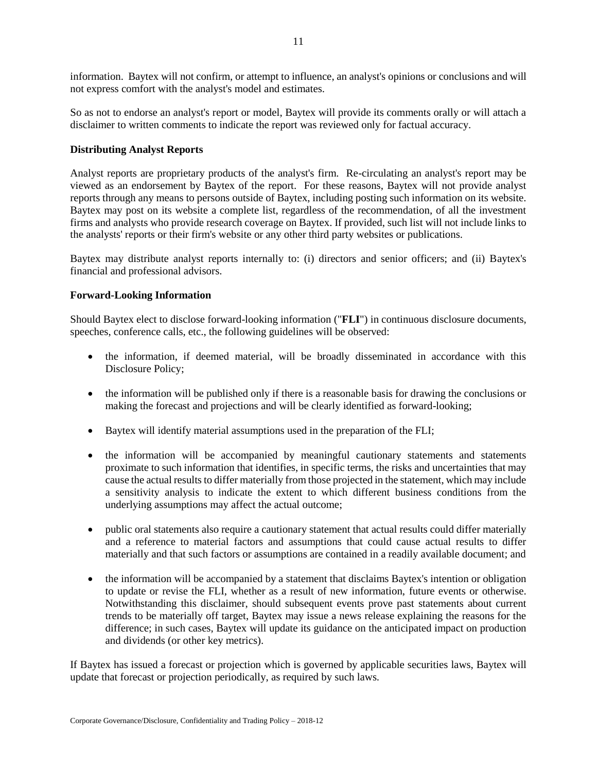information. Baytex will not confirm, or attempt to influence, an analyst's opinions or conclusions and will not express comfort with the analyst's model and estimates.

So as not to endorse an analyst's report or model, Baytex will provide its comments orally or will attach a disclaimer to written comments to indicate the report was reviewed only for factual accuracy.

### **Distributing Analyst Reports**

Analyst reports are proprietary products of the analyst's firm. Re-circulating an analyst's report may be viewed as an endorsement by Baytex of the report. For these reasons, Baytex will not provide analyst reports through any means to persons outside of Baytex, including posting such information on its website. Baytex may post on its website a complete list, regardless of the recommendation, of all the investment firms and analysts who provide research coverage on Baytex. If provided, such list will not include links to the analysts' reports or their firm's website or any other third party websites or publications.

Baytex may distribute analyst reports internally to: (i) directors and senior officers; and (ii) Baytex's financial and professional advisors.

### **Forward-Looking Information**

Should Baytex elect to disclose forward-looking information ("**FLI**") in continuous disclosure documents, speeches, conference calls, etc., the following guidelines will be observed:

- the information, if deemed material, will be broadly disseminated in accordance with this Disclosure Policy;
- the information will be published only if there is a reasonable basis for drawing the conclusions or making the forecast and projections and will be clearly identified as forward-looking;
- Baytex will identify material assumptions used in the preparation of the FLI;
- the information will be accompanied by meaningful cautionary statements and statements proximate to such information that identifies, in specific terms, the risks and uncertainties that may cause the actual results to differ materially from those projected in the statement, which may include a sensitivity analysis to indicate the extent to which different business conditions from the underlying assumptions may affect the actual outcome;
- public oral statements also require a cautionary statement that actual results could differ materially and a reference to material factors and assumptions that could cause actual results to differ materially and that such factors or assumptions are contained in a readily available document; and
- the information will be accompanied by a statement that disclaims Baytex's intention or obligation to update or revise the FLI, whether as a result of new information, future events or otherwise. Notwithstanding this disclaimer, should subsequent events prove past statements about current trends to be materially off target, Baytex may issue a news release explaining the reasons for the difference; in such cases, Baytex will update its guidance on the anticipated impact on production and dividends (or other key metrics).

If Baytex has issued a forecast or projection which is governed by applicable securities laws, Baytex will update that forecast or projection periodically, as required by such laws.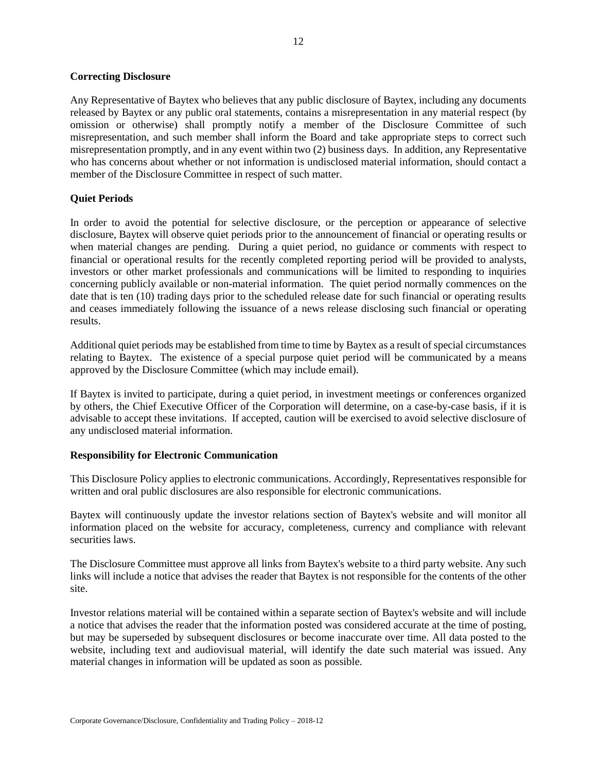#### **Correcting Disclosure**

Any Representative of Baytex who believes that any public disclosure of Baytex, including any documents released by Baytex or any public oral statements, contains a misrepresentation in any material respect (by omission or otherwise) shall promptly notify a member of the Disclosure Committee of such misrepresentation, and such member shall inform the Board and take appropriate steps to correct such misrepresentation promptly, and in any event within two (2) business days. In addition, any Representative who has concerns about whether or not information is undisclosed material information, should contact a member of the Disclosure Committee in respect of such matter.

## **Quiet Periods**

In order to avoid the potential for selective disclosure, or the perception or appearance of selective disclosure, Baytex will observe quiet periods prior to the announcement of financial or operating results or when material changes are pending. During a quiet period, no guidance or comments with respect to financial or operational results for the recently completed reporting period will be provided to analysts, investors or other market professionals and communications will be limited to responding to inquiries concerning publicly available or non-material information. The quiet period normally commences on the date that is ten (10) trading days prior to the scheduled release date for such financial or operating results and ceases immediately following the issuance of a news release disclosing such financial or operating results.

Additional quiet periods may be established from time to time by Baytex as a result of special circumstances relating to Baytex. The existence of a special purpose quiet period will be communicated by a means approved by the Disclosure Committee (which may include email).

If Baytex is invited to participate, during a quiet period, in investment meetings or conferences organized by others, the Chief Executive Officer of the Corporation will determine, on a case-by-case basis, if it is advisable to accept these invitations. If accepted, caution will be exercised to avoid selective disclosure of any undisclosed material information.

## **Responsibility for Electronic Communication**

This Disclosure Policy applies to electronic communications. Accordingly, Representatives responsible for written and oral public disclosures are also responsible for electronic communications.

Baytex will continuously update the investor relations section of Baytex's website and will monitor all information placed on the website for accuracy, completeness, currency and compliance with relevant securities laws.

The Disclosure Committee must approve all links from Baytex's website to a third party website. Any such links will include a notice that advises the reader that Baytex is not responsible for the contents of the other site.

Investor relations material will be contained within a separate section of Baytex's website and will include a notice that advises the reader that the information posted was considered accurate at the time of posting, but may be superseded by subsequent disclosures or become inaccurate over time. All data posted to the website, including text and audiovisual material, will identify the date such material was issued. Any material changes in information will be updated as soon as possible.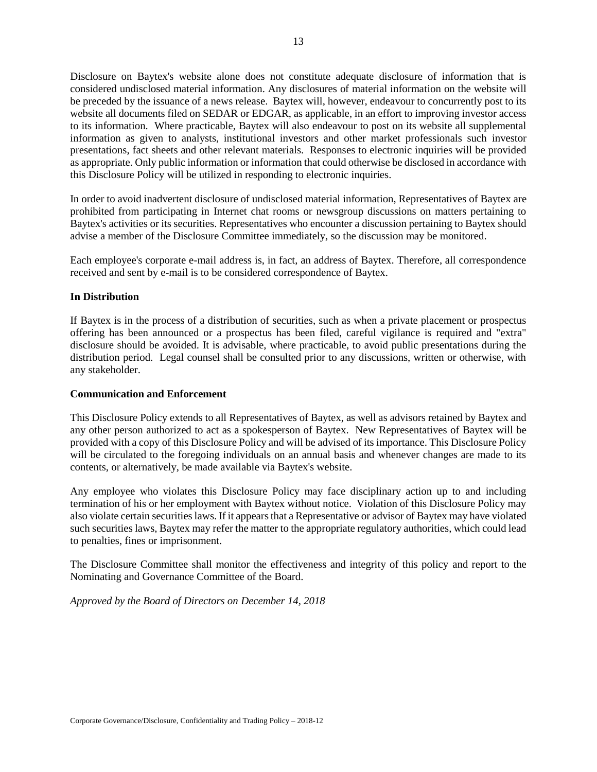Disclosure on Baytex's website alone does not constitute adequate disclosure of information that is considered undisclosed material information. Any disclosures of material information on the website will be preceded by the issuance of a news release. Baytex will, however, endeavour to concurrently post to its website all documents filed on SEDAR or EDGAR, as applicable, in an effort to improving investor access to its information. Where practicable, Baytex will also endeavour to post on its website all supplemental information as given to analysts, institutional investors and other market professionals such investor presentations, fact sheets and other relevant materials. Responses to electronic inquiries will be provided as appropriate. Only public information or information that could otherwise be disclosed in accordance with this Disclosure Policy will be utilized in responding to electronic inquiries.

In order to avoid inadvertent disclosure of undisclosed material information, Representatives of Baytex are prohibited from participating in Internet chat rooms or newsgroup discussions on matters pertaining to Baytex's activities or its securities. Representatives who encounter a discussion pertaining to Baytex should advise a member of the Disclosure Committee immediately, so the discussion may be monitored.

Each employee's corporate e-mail address is, in fact, an address of Baytex. Therefore, all correspondence received and sent by e-mail is to be considered correspondence of Baytex.

### **In Distribution**

If Baytex is in the process of a distribution of securities, such as when a private placement or prospectus offering has been announced or a prospectus has been filed, careful vigilance is required and "extra" disclosure should be avoided. It is advisable, where practicable, to avoid public presentations during the distribution period. Legal counsel shall be consulted prior to any discussions, written or otherwise, with any stakeholder.

#### **Communication and Enforcement**

This Disclosure Policy extends to all Representatives of Baytex, as well as advisors retained by Baytex and any other person authorized to act as a spokesperson of Baytex. New Representatives of Baytex will be provided with a copy of this Disclosure Policy and will be advised of its importance. This Disclosure Policy will be circulated to the foregoing individuals on an annual basis and whenever changes are made to its contents, or alternatively, be made available via Baytex's website.

Any employee who violates this Disclosure Policy may face disciplinary action up to and including termination of his or her employment with Baytex without notice. Violation of this Disclosure Policy may also violate certain securities laws. If it appears that a Representative or advisor of Baytex may have violated such securities laws, Baytex may refer the matter to the appropriate regulatory authorities, which could lead to penalties, fines or imprisonment.

The Disclosure Committee shall monitor the effectiveness and integrity of this policy and report to the Nominating and Governance Committee of the Board.

*Approved by the Board of Directors on December 14, 2018*